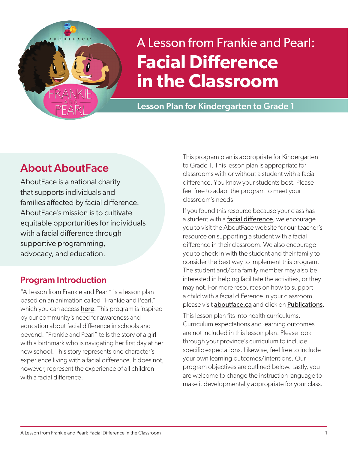

# A Lesson from Frankie and Pearl: **Facial Difference in the Classroom**

Lesson Plan for Kindergarten to Grade 1

# About AboutFace

AboutFace is a national charity that supports individuals and families affected by facial difference. AboutFace's mission is to cultivate equitable opportunities for individuals with a facial difference through supportive programming, advocacy, and education.

### Program Introduction

"A Lesson from Frankie and Pearl" is a lesson plan based on an animation called "Frankie and Pearl," which you can access [here](https://www.youtube.com/watch?v=R1hdSISTQog). This program is inspired by our community's need for awareness and education about facial difference in schools and beyond. "Frankie and Pearl" tells the story of a girl with a birthmark who is navigating her first day at her new school. This story represents one character's experience living with a facial difference. It does not, however, represent the experience of all children with a facial difference.

This program plan is appropriate for Kindergarten to Grade 1. This lesson plan is appropriate for classrooms with or without a student with a facial difference. You know your students best. Please feel free to adapt the program to meet your classroom's needs.

If you found this resource because your class has a student with a [facial difference](https://www.aboutface.ca/facial_difference/), we encourage you to visit the AboutFace website for our teacher's resource on supporting a student with a facial difference in their classroom. We also encourage you to check in with the student and their family to consider the best way to implement this program. The student and/or a family member may also be interested in helping facilitate the activities, or they may not. For more resources on how to support a child with a facial difference in your classroom, please visit [aboutface.ca](www.aboutface.ca) and click on [Publications](https://www.aboutface.ca/publications/).

This lesson plan fits into health curriculums. Curriculum expectations and learning outcomes are not included in this lesson plan. Please look through your province's curriculum to include specific expectations. Likewise, feel free to include your own learning outcomes/intentions. Our program objectives are outlined below. Lastly, you are welcome to change the instruction language to make it developmentally appropriate for your class.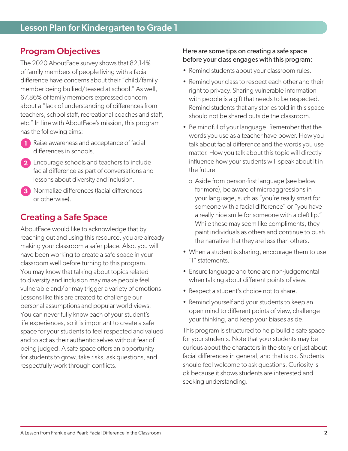### Program Objectives

The 2020 AboutFace survey shows that 82.14% of family members of people living with a facial difference have concerns about their "child/family member being bullied/teased at school." As well, 67.86% of family members expressed concern about a "lack of understanding of differences from teachers, school staff, recreational coaches and staff, etc." In line with AboutFace's mission, this program has the following aims:

- **1** Raise awareness and acceptance of facial differences in schools.
- **2** Encourage schools and teachers to include facial difference as part of conversations and lessons about diversity and inclusion.
- **3** Normalize differences (facial differences or otherwise).

### Creating a Safe Space

AboutFace would like to acknowledge that by reaching out and using this resource, you are already making your classroom a safer place. Also, you will have been working to create a safe space in your classroom well before turning to this program. You may know that talking about topics related to diversity and inclusion may make people feel vulnerable and/or may trigger a variety of emotions. Lessons like this are created to challenge our personal assumptions and popular world views. You can never fully know each of your student's life experiences, so it is important to create a safe space for your students to feel respected and valued and to act as their authentic selves without fear of being judged. A safe space offers an opportunity for students to grow, take risks, ask questions, and respectfully work through conflicts.

#### Here are some tips on creating a safe space before your class engages with this program:

- Remind students about your classroom rules.
- Remind your class to respect each other and their right to privacy. Sharing vulnerable information with people is a gift that needs to be respected. Remind students that any stories told in this space should not be shared outside the classroom.
- Be mindful of your language. Remember that the words you use as a teacher have power. How you talk about facial difference and the words you use matter. How you talk about this topic will directly influence how your students will speak about it in the future.
	- o Aside from person-first language (see below for more), be aware of microaggressions in your language, such as "you're really smart for someone with a facial difference" or "you have a really nice smile for someone with a cleft lip." While these may seem like compliments, they paint individuals as others and continue to push the narrative that they are less than others.
- When a student is sharing, encourage them to use "I" statements.
- Ensure language and tone are non-judgemental when talking about different points of view.
- Respect a student's choice not to share.
- Remind yourself and your students to keep an open mind to different points of view, challenge your thinking, and keep your biases aside.

This program is structured to help build a safe space for your students. Note that your students may be curious about the characters in the story or just about facial differences in general, and that is ok. Students should feel welcome to ask questions. Curiosity is ok because it shows students are interested and seeking understanding.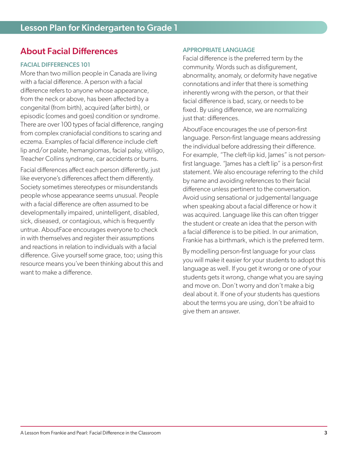### About Facial Differences

#### FACIAL DIFFERENCES 101

More than two million people in Canada are living with a facial difference. A person with a facial difference refers to anyone whose appearance, from the neck or above, has been affected by a congenital (from birth), acquired (after birth), or episodic (comes and goes) condition or syndrome. There are over 100 types of facial difference, ranging from complex craniofacial conditions to scaring and eczema. Examples of facial difference include cleft lip and/or palate, hemangiomas, facial palsy, vitiligo, Treacher Collins syndrome, car accidents or burns.

Facial differences affect each person differently, just like everyone's differences affect them differently. Society sometimes stereotypes or misunderstands people whose appearance seems unusual. People with a facial difference are often assumed to be developmentally impaired, unintelligent, disabled, sick, diseased, or contagious, which is frequently untrue. AboutFace encourages everyone to check in with themselves and register their assumptions and reactions in relation to individuals with a facial difference. Give yourself some grace, too; using this resource means you've been thinking about this and want to make a difference.

#### APPROPRIATE LANGUAGE

Facial difference is the preferred term by the community. Words such as disfigurement, abnormality, anomaly, or deformity have negative connotations and infer that there is something inherently wrong with the person, or that their facial difference is bad, scary, or needs to be fixed. By using difference, we are normalizing just that: differences.

AboutFace encourages the use of person-first language. Person-first language means addressing the individual before addressing their difference. For example, "The cleft-lip kid, James" is not personfirst language. "James has a cleft lip" is a person-first statement. We also encourage referring to the child by name and avoiding references to their facial difference unless pertinent to the conversation. Avoid using sensational or judgemental language when speaking about a facial difference or how it was acquired. Language like this can often trigger the student or create an idea that the person with a facial difference is to be pitied. In our animation, Frankie has a birthmark, which is the preferred term.

By modelling person-first language for your class you will make it easier for your students to adopt this language as well. If you get it wrong or one of your students gets it wrong, change what you are saying and move on. Don't worry and don't make a big deal about it. If one of your students has questions about the terms you are using, don't be afraid to give them an answer.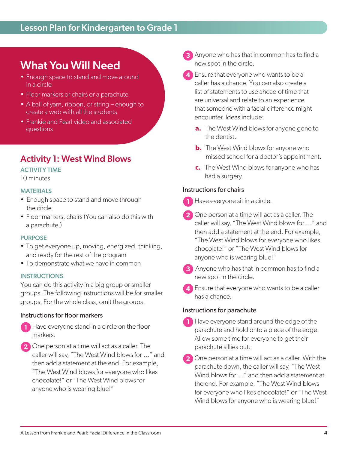### Lesson Plan for Kindergarten to Grade 1

## What You Will Need

- Enough space to stand and move around in a circle
- Floor markers or chairs or a parachute
- A ball of yarn, ribbon, or string enough to create a web with all the students
- Frankie and Pearl video and associated questions

### Activity 1: West Wind Blows

#### ACTIVITY TIME

10 minutes

#### MATERIALS

- Enough space to stand and move through the circle
- Floor markers, chairs (You can also do this with a parachute.)

#### PURPOSE

- To get everyone up, moving, energized, thinking, and ready for the rest of the program
- To demonstrate what we have in common

#### **INSTRUCTIONS**

You can do this activity in a big group or smaller groups. The following instructions will be for smaller groups. For the whole class, omit the groups.

#### Instructions for floor markers

- **1** Have everyone stand in a circle on the floor markers.
- 2<sup></sup> One person at a time will act as a caller. The caller will say, "The West Wind blows for …" and then add a statement at the end. For example, "The West Wind blows for everyone who likes chocolate!" or "The West Wind blows for anyone who is wearing blue!"
- **3** Anyone who has that in common has to find a new spot in the circle.
- **4** Ensure that everyone who wants to be a caller has a chance. You can also create a list of statements to use ahead of time that are universal and relate to an experience that someone with a facial difference might encounter. Ideas include:
	- **a.** The West Wind blows for anyone gone to the dentist.
	- **b.** The West Wind blows for anyone who missed school for a doctor's appointment.
	- **c.** The West Wind blows for anyone who has had a surgery.

#### Instructions for chairs

- **1** Have everyone sit in a circle.
- **2** One person at a time will act as a caller. The caller will say, "The West Wind blows for …" and then add a statement at the end. For example, "The West Wind blows for everyone who likes chocolate!" or "The West Wind blows for anyone who is wearing blue!"
- **3** Anyone who has that in common has to find a new spot in the circle.
- **4** Ensure that everyone who wants to be a caller has a chance.

#### Instructions for parachute

- **1** Have everyone stand around the edge of the parachute and hold onto a piece of the edge. Allow some time for everyone to get their parachute sillies out.
- **2** One person at a time will act as a caller. With the parachute down, the caller will say, "The West Wind blows for …" and then add a statement at the end. For example, "The West Wind blows for everyone who likes chocolate!" or "The West Wind blows for anyone who is wearing blue!"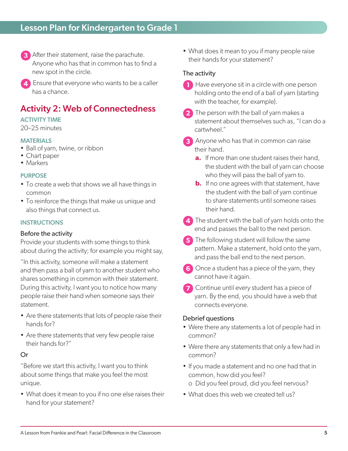- **3** After their statement, raise the parachute. Anyone who has that in common has to find a new spot in the circle.
- **4** Ensure that everyone who wants to be a caller has a chance.

### Activity 2: Web of Connectedness

#### ACTIVITY TIME

20–25 minutes

#### **MATERIALS**

- Ball of yarn, twine, or ribbon
- Chart paper
- Markers

#### PURPOSE

- To create a web that shows we all have things in common
- To reinforce the things that make us unique and also things that connect us.

#### **INSTRUCTIONS**

#### Before the activity

Provide your students with some things to think about during the activity; for example you might say,

"In this activity, someone will make a statement and then pass a ball of yarn to another student who shares something in common with their statement. During this activity, I want you to notice how many people raise their hand when someone says their statement.

- Are there statements that lots of people raise their hands for?
- Are there statements that very few people raise their hands for?"

#### Or

"Before we start this activity, I want you to think about some things that make you feel the most unique.

• What does it mean to you if no one else raises their hand for your statement?

• What does it mean to you if many people raise their hands for your statement?

#### The activity

- **1** Have everyone sit in a circle with one person holding onto the end of a ball of yarn (starting with the teacher, for example).
- **2** The person with the ball of yarn makes a statement about themselves such as, "I can do a cartwheel."
- **3** Anyone who has that in common can raise their hand.
	- **a.** If more than one student raises their hand, the student with the ball of yarn can choose who they will pass the ball of yarn to.
	- **b.** If no one agrees with that statement, have the student with the ball of yarn continue to share statements until someone raises their hand.
- **4** The student with the ball of yarn holds onto the end and passes the ball to the next person.
- **5** The following student will follow the same pattern. Make a statement, hold onto the yarn, and pass the ball end to the next person.
- **6** Once a student has a piece of the yarn, they cannot have it again.
- **7** Continue until every student has a piece of yarn. By the end, you should have a web that connects everyone.

#### Debrief questions

- Were there any statements a lot of people had in common?
- Were there any statements that only a few had in common?
- If you made a statement and no one had that in common, how did you feel? o Did you feel proud, did you feel nervous?
- What does this web we created tell us?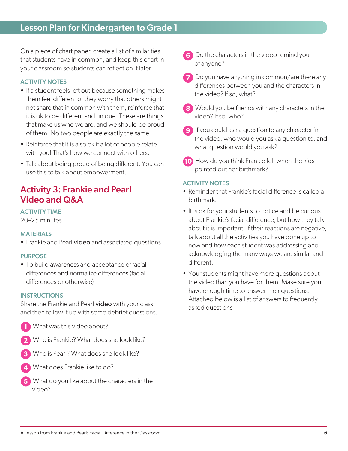On a piece of chart paper, create a list of similarities that students have in common, and keep this chart in your classroom so students can reflect on it later.

#### ACTIVITY NOTES

- If a student feels left out because something makes them feel different or they worry that others might not share that in common with them, reinforce that it is ok to be different and unique. These are things that make us who we are, and we should be proud of them. No two people are exactly the same.
- Reinforce that it is also ok if a lot of people relate with you! That's how we connect with others.
- Talk about being proud of being different. You can use this to talk about empowerment.

### Activity 3: Frankie and Pearl Video and Q&A

#### ACTIVITY TIME

20–25 minutes

#### MATERIALS

• Frankie and Pearl [video](https://www.youtube.com/watch?v=R1hdSISTQog) and associated questions

#### PURPOSE

• To build awareness and acceptance of facial differences and normalize differences (facial differences or otherwise)

#### **INSTRUCTIONS**

Share the Frankie and Pearl [video](https://www.youtube.com/watch?v=R1hdSISTQog) with your class, and then follow it up with some debrief questions.

- **1** What was this video about?
- **2** Who is Frankie? What does she look like?
- **3** Who is Pearl? What does she look like?
- **4** What does Frankie like to do?
- **5** What do you like about the characters in the video?
- **6** Do the characters in the video remind you of anyone?
- **7** Do you have anything in common/are there any differences between you and the characters in the video? If so, what?
- **8** Would you be friends with any characters in the video? If so, who?
- **9** If you could ask a question to any character in the video, who would you ask a question to, and what question would you ask?
- **10** How do you think Frankie felt when the kids pointed out her birthmark?

#### ACTIVITY NOTES

- Reminder that Frankie's facial difference is called a birthmark.
- It is ok for your students to notice and be curious about Frankie's facial difference, but how they talk about it is important. If their reactions are negative, talk about all the activities you have done up to now and how each student was addressing and acknowledging the many ways we are similar and different.
- Your students might have more questions about the video than you have for them. Make sure you have enough time to answer their questions. Attached below is a list of answers to frequently asked questions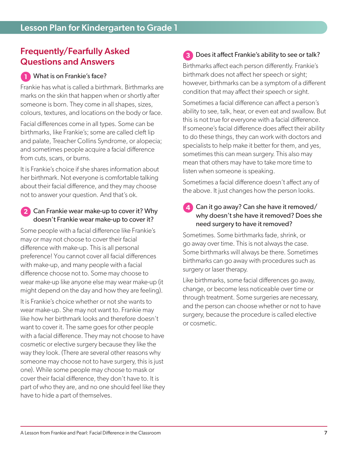### Frequently/Fearfully Asked Questions and Answers

#### **1** What is on Frankie's face?

Frankie has what is called a birthmark. Birthmarks are marks on the skin that happen when or shortly after someone is born. They come in all shapes, sizes, colours, textures, and locations on the body or face.

Facial differences come in all types. Some can be birthmarks, like Frankie's; some are called cleft lip and palate, Treacher Collins Syndrome, or alopecia; and sometimes people acquire a facial difference from cuts, scars, or burns.

It is Frankie's choice if she shares information about her birthmark. Not everyone is comfortable talking about their facial difference, and they may choose not to answer your question. And that's ok.

#### **2** Can Frankie wear make-up to cover it? Why doesn't Frankie wear make-up to cover it?

Some people with a facial difference like Frankie's may or may not choose to cover their facial difference with make-up. This is all personal preference! You cannot cover all facial differences with make-up, and many people with a facial difference choose not to. Some may choose to wear make-up like anyone else may wear make-up (it might depend on the day and how they are feeling).

It is Frankie's choice whether or not she wants to wear make-up. She may not want to. Frankie may like how her birthmark looks and therefore doesn't want to cover it. The same goes for other people with a facial difference. They may not choose to have cosmetic or elective surgery because they like the way they look. (There are several other reasons why someone may choose not to have surgery, this is just one). While some people may choose to mask or cover their facial difference, they don't have to. It is part of who they are, and no one should feel like they have to hide a part of themselves.

### **3** Does it affect Frankie's ability to see or talk?

Birthmarks affect each person differently. Frankie's birthmark does not affect her speech or sight; however, birthmarks can be a symptom of a different condition that may affect their speech or sight.

Sometimes a facial difference can affect a person's ability to see, talk, hear, or even eat and swallow. But this is not true for everyone with a facial difference. If someone's facial difference does affect their ability to do these things, they can work with doctors and specialists to help make it better for them, and yes, sometimes this can mean surgery. This also may mean that others may have to take more time to listen when someone is speaking.

Sometimes a facial difference doesn't affect any of the above. It just changes how the person looks.

#### **4** Can it go away? Can she have it removed/ why doesn't she have it removed? Does she need surgery to have it removed?

Sometimes. Some birthmarks fade, shrink, or go away over time. This is not always the case. Some birthmarks will always be there. Sometimes birthmarks can go away with procedures such as surgery or laser therapy.

Like birthmarks, some facial differences go away, change, or become less noticeable over time or through treatment. Some surgeries are necessary, and the person can choose whether or not to have surgery, because the procedure is called elective or cosmetic.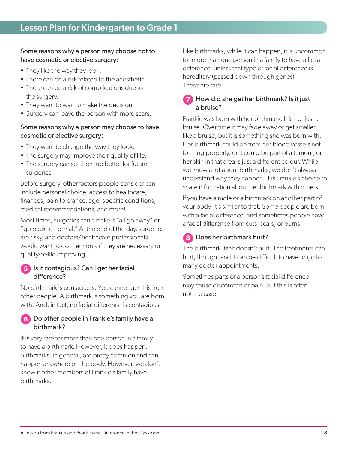#### Some reasons why a person may choose not to have cosmetic or elective surgery:

- They like the way they look.
- There can be a risk related to the anesthetic.
- There can be a risk of complications due to the surgery.
- They want to wait to make the decision.
- Surgery can leave the person with more scars.

#### Some reasons why a person may choose to have cosmetic or elective surgery:

- They want to change the way they look.
- The surgery may improve their quality of life.
- The surgery can set them up better for future surgeries.

Before surgery, other factors people consider can include personal choice, access to healthcare, finances, pain tolerance, age, specific conditions, medical recommendations, and more!

Most times, surgeries can't make it "all go away" or "go back to normal." At the end of the day, surgeries are risky, and doctors/healthcare professionals would want to do them only if they are necessary or quality-of-life improving.

### **5** Is it contagious? Can I get her facial difference?

No birthmark is contagious. You cannot get this from other people. A birthmark is something you are born with. And, in fact, no facial difference is contagious.

#### **6** Do other people in Frankie's family have a birthmark?

It is very rare for more than one person in a family to have a birthmark. However, it does happen. Birthmarks, in general, are pretty common and can happen anywhere on the body. However, we don't know if other members of Frankie's family have birthmarks.

Like birthmarks, while it can happen, it is uncommon for more than one person in a family to have a facial difference, unless that type of facial difference is hereditary (passed down through genes). These are rare.

#### **7** How did she get her birthmark? Is it just a bruise?

Frankie was born with her birthmark. It is not just a bruise. Over time it may fade away or get smaller, like a bruise, but it is something she was born with. Her birthmark could be from her blood vessels not forming properly, or it could be part of a tumour, or her skin in that area is just a different colour. While we know a lot about birthmarks, we don't always understand why they happen. It is Frankie's choice to share information about her birthmark with others.

If you have a mole or a birthmark on another part of your body, it's similar to that. Some people are born with a facial difference, and sometimes people have a facial difference from cuts, scars, or burns.

### **8** Does her birthmark hurt?

The birthmark itself doesn't hurt. The treatments can hurt, though, and it can be difficult to have to go to many doctor appointments.

Sometimes parts of a person's facial difference may cause discomfort or pain, but this is often not the case.